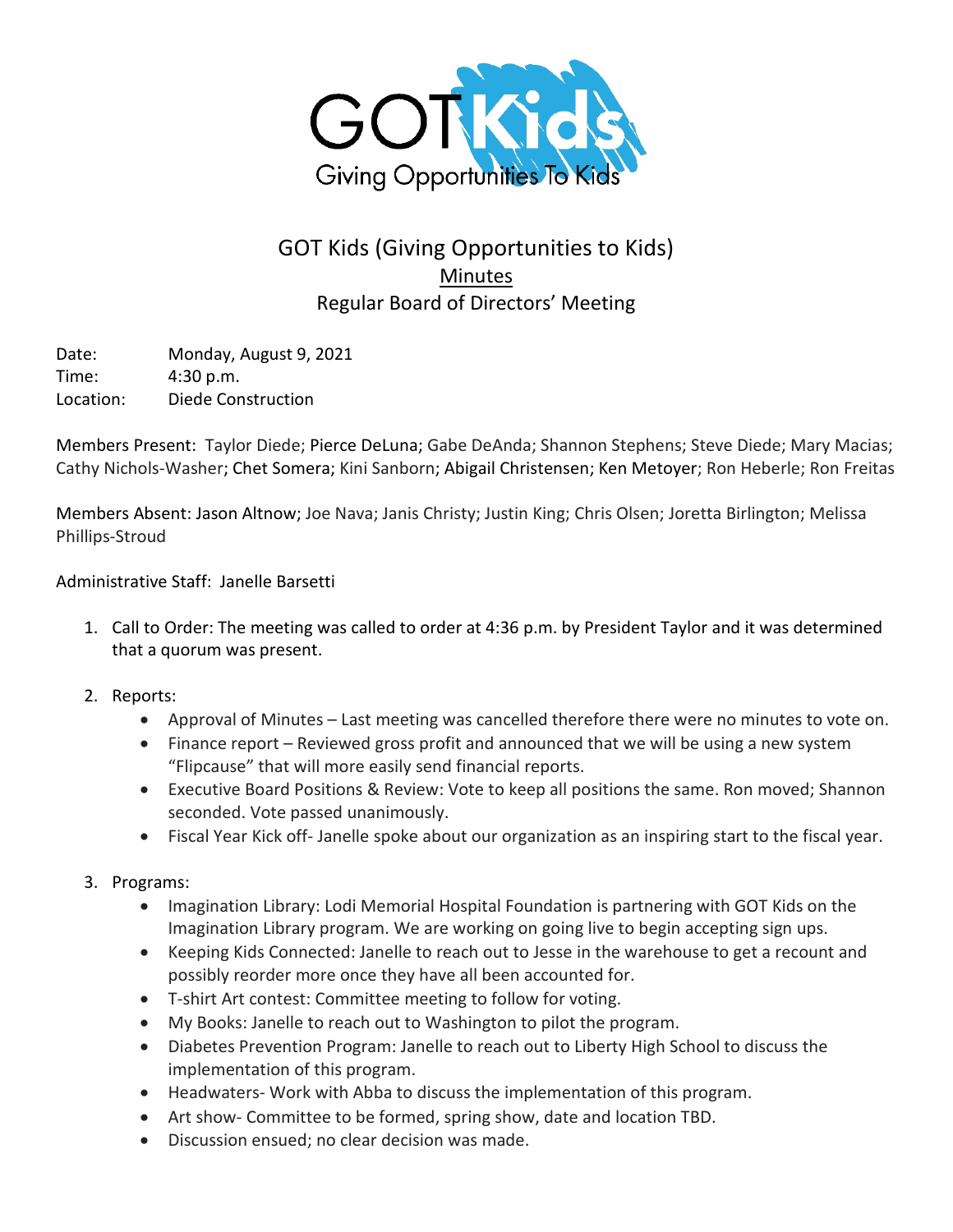

## GOT Kids (Giving Opportunities to Kids) Minutes Regular Board of Directors' Meeting

Date: Monday, August 9, 2021 Time: 4:30 p.m. Location: Diede Construction

Members Present: Taylor Diede; Pierce DeLuna; Gabe DeAnda; Shannon Stephens; Steve Diede; Mary Macias; Cathy Nichols-Washer; Chet Somera; Kini Sanborn; Abigail Christensen; Ken Metoyer; Ron Heberle; Ron Freitas

Members Absent: Jason Altnow; Joe Nava; Janis Christy; Justin King; Chris Olsen; Joretta Birlington; Melissa Phillips-Stroud

Administrative Staff: Janelle Barsetti

- 1. Call to Order: The meeting was called to order at 4:36 p.m. by President Taylor and it was determined that a quorum was present.
- 2. Reports:
	- Approval of Minutes Last meeting was cancelled therefore there were no minutes to vote on.
	- Finance report Reviewed gross profit and announced that we will be using a new system "Flipcause" that will more easily send financial reports.
	- Executive Board Positions & Review: Vote to keep all positions the same. Ron moved; Shannon seconded. Vote passed unanimously.
	- Fiscal Year Kick off- Janelle spoke about our organization as an inspiring start to the fiscal year.
- 3. Programs:
	- Imagination Library: Lodi Memorial Hospital Foundation is partnering with GOT Kids on the Imagination Library program. We are working on going live to begin accepting sign ups.
	- Keeping Kids Connected: Janelle to reach out to Jesse in the warehouse to get a recount and possibly reorder more once they have all been accounted for.
	- T-shirt Art contest: Committee meeting to follow for voting.
	- My Books: Janelle to reach out to Washington to pilot the program.
	- Diabetes Prevention Program: Janelle to reach out to Liberty High School to discuss the implementation of this program.
	- Headwaters- Work with Abba to discuss the implementation of this program.
	- Art show- Committee to be formed, spring show, date and location TBD.
	- Discussion ensued; no clear decision was made.